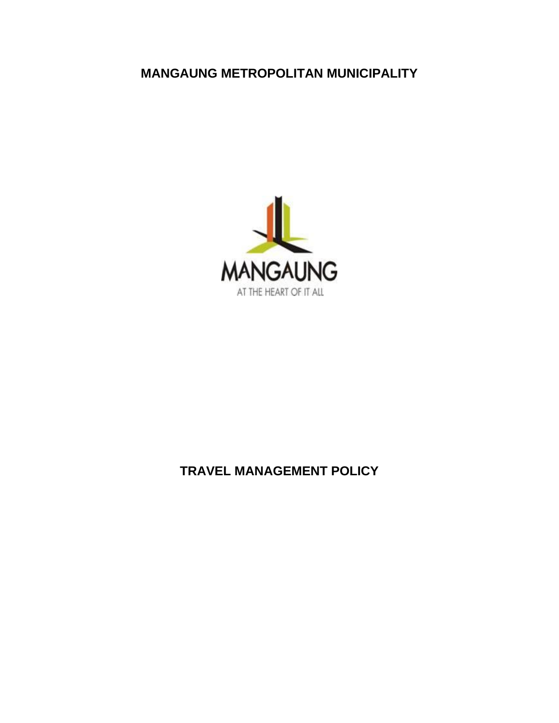# **MANGAUNG METROPOLITAN MUNICIPALITY**



# **TRAVEL MANAGEMENT POLICY**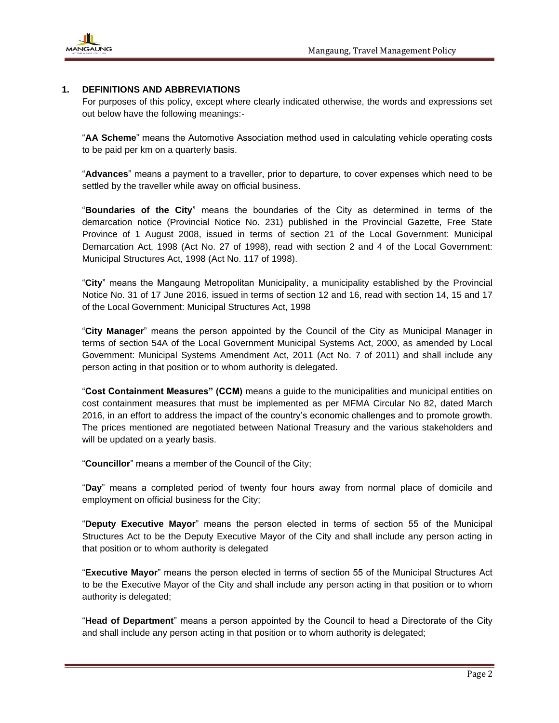

# **1. DEFINITIONS AND ABBREVIATIONS**

For purposes of this policy, except where clearly indicated otherwise, the words and expressions set out below have the following meanings:-

"**AA Scheme**" means the Automotive Association method used in calculating vehicle operating costs to be paid per km on a quarterly basis.

"**Advances**" means a payment to a traveller, prior to departure, to cover expenses which need to be settled by the traveller while away on official business.

"**Boundaries of the City**" means the boundaries of the City as determined in terms of the demarcation notice (Provincial Notice No. 231) published in the Provincial Gazette, Free State Province of 1 August 2008, issued in terms of section 21 of the Local Government: Municipal Demarcation Act, 1998 (Act No. 27 of 1998), read with section 2 and 4 of the Local Government: Municipal Structures Act, 1998 (Act No. 117 of 1998).

"**City**" means the Mangaung Metropolitan Municipality, a municipality established by the Provincial Notice No. 31 of 17 June 2016, issued in terms of section 12 and 16, read with section 14, 15 and 17 of the Local Government: Municipal Structures Act, 1998

"**City Manager**" means the person appointed by the Council of the City as Municipal Manager in terms of section 54A of the Local Government Municipal Systems Act, 2000, as amended by Local Government: Municipal Systems Amendment Act, 2011 (Act No. 7 of 2011) and shall include any person acting in that position or to whom authority is delegated.

"**Cost Containment Measures" (CCM)** means a guide to the municipalities and municipal entities on cost containment measures that must be implemented as per MFMA Circular No 82, dated March 2016, in an effort to address the impact of the country's economic challenges and to promote growth. The prices mentioned are negotiated between National Treasury and the various stakeholders and will be updated on a yearly basis.

"**Councillor**" means a member of the Council of the City;

"**Day**" means a completed period of twenty four hours away from normal place of domicile and employment on official business for the City;

"**Deputy Executive Mayor**" means the person elected in terms of section 55 of the Municipal Structures Act to be the Deputy Executive Mayor of the City and shall include any person acting in that position or to whom authority is delegated

"**Executive Mayor**" means the person elected in terms of section 55 of the Municipal Structures Act to be the Executive Mayor of the City and shall include any person acting in that position or to whom authority is delegated;

"**Head of Department**" means a person appointed by the Council to head a Directorate of the City and shall include any person acting in that position or to whom authority is delegated;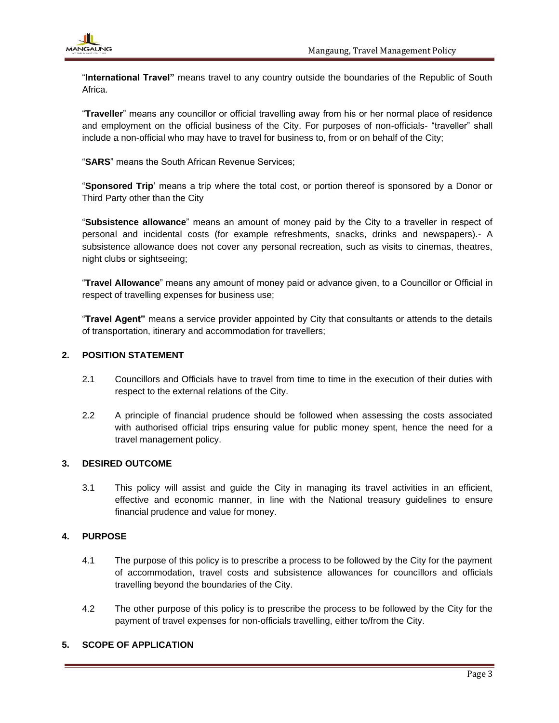"**International Travel"** means travel to any country outside the boundaries of the Republic of South Africa.

"**Traveller**" means any councillor or official travelling away from his or her normal place of residence and employment on the official business of the City. For purposes of non-officials- "traveller" shall include a non-official who may have to travel for business to, from or on behalf of the City;

"**SARS**" means the South African Revenue Services;

"**Sponsored Trip**' means a trip where the total cost, or portion thereof is sponsored by a Donor or Third Party other than the City

"**Subsistence allowance**" means an amount of money paid by the City to a traveller in respect of personal and incidental costs (for example refreshments, snacks, drinks and newspapers).- A subsistence allowance does not cover any personal recreation, such as visits to cinemas, theatres, night clubs or sightseeing;

"**Travel Allowance**" means any amount of money paid or advance given, to a Councillor or Official in respect of travelling expenses for business use;

"**Travel Agent"** means a service provider appointed by City that consultants or attends to the details of transportation, itinerary and accommodation for travellers;

# **2. POSITION STATEMENT**

- 2.1 Councillors and Officials have to travel from time to time in the execution of their duties with respect to the external relations of the City.
- 2.2 A principle of financial prudence should be followed when assessing the costs associated with authorised official trips ensuring value for public money spent, hence the need for a travel management policy.

#### **3. DESIRED OUTCOME**

3.1 This policy will assist and guide the City in managing its travel activities in an efficient, effective and economic manner, in line with the National treasury guidelines to ensure financial prudence and value for money.

# **4. PURPOSE**

- 4.1 The purpose of this policy is to prescribe a process to be followed by the City for the payment of accommodation, travel costs and subsistence allowances for councillors and officials travelling beyond the boundaries of the City.
- 4.2 The other purpose of this policy is to prescribe the process to be followed by the City for the payment of travel expenses for non-officials travelling, either to/from the City.

# **5. SCOPE OF APPLICATION**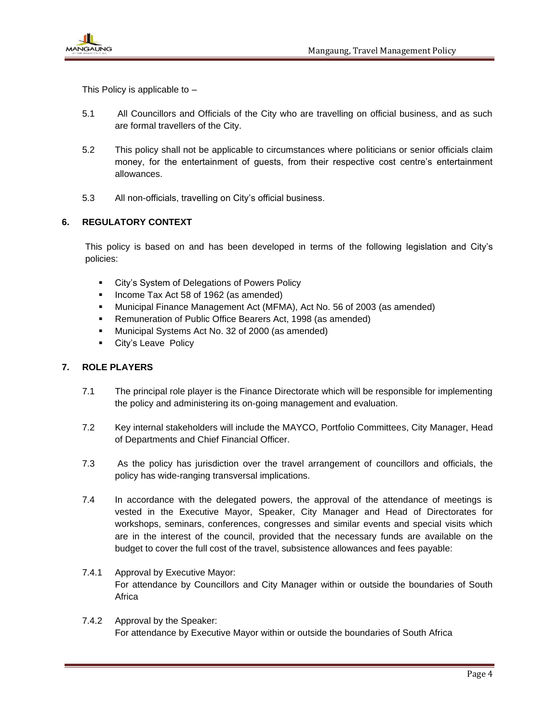

This Policy is applicable to  $-$ 

- 5.1 All Councillors and Officials of the City who are travelling on official business, and as such are formal travellers of the City.
- 5.2 This policy shall not be applicable to circumstances where politicians or senior officials claim money, for the entertainment of guests, from their respective cost centre's entertainment allowances.
- 5.3 All non-officials, travelling on City's official business.

# **6. REGULATORY CONTEXT**

This policy is based on and has been developed in terms of the following legislation and City's policies:

- City's System of Delegations of Powers Policy
- Income Tax Act 58 of 1962 (as amended)
- Municipal Finance Management Act (MFMA), Act No. 56 of 2003 (as amended)
- Remuneration of Public Office Bearers Act, 1998 (as amended)
- Municipal Systems Act No. 32 of 2000 (as amended)
- City's Leave Policy

## **7. ROLE PLAYERS**

- 7.1 The principal role player is the Finance Directorate which will be responsible for implementing the policy and administering its on-going management and evaluation.
- 7.2 Key internal stakeholders will include the MAYCO, Portfolio Committees, City Manager, Head of Departments and Chief Financial Officer.
- 7.3 As the policy has jurisdiction over the travel arrangement of councillors and officials, the policy has wide-ranging transversal implications.
- 7.4 In accordance with the delegated powers, the approval of the attendance of meetings is vested in the Executive Mayor, Speaker, City Manager and Head of Directorates for workshops, seminars, conferences, congresses and similar events and special visits which are in the interest of the council, provided that the necessary funds are available on the budget to cover the full cost of the travel, subsistence allowances and fees payable:
- 7.4.1 Approval by Executive Mayor: For attendance by Councillors and City Manager within or outside the boundaries of South **Africa**
- 7.4.2 Approval by the Speaker: For attendance by Executive Mayor within or outside the boundaries of South Africa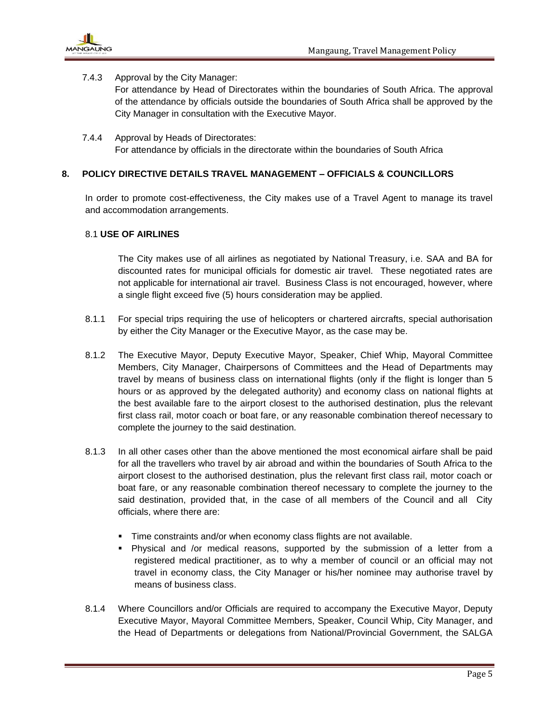

## 7.4.3 Approval by the City Manager:

For attendance by Head of Directorates within the boundaries of South Africa. The approval of the attendance by officials outside the boundaries of South Africa shall be approved by the City Manager in consultation with the Executive Mayor.

7.4.4 Approval by Heads of Directorates: For attendance by officials in the directorate within the boundaries of South Africa

## **8. POLICY DIRECTIVE DETAILS TRAVEL MANAGEMENT – OFFICIALS & COUNCILLORS**

In order to promote cost-effectiveness, the City makes use of a Travel Agent to manage its travel and accommodation arrangements.

#### 8.1 **USE OF AIRLINES**

The City makes use of all airlines as negotiated by National Treasury, i.e. SAA and BA for discounted rates for municipal officials for domestic air travel. These negotiated rates are not applicable for international air travel. Business Class is not encouraged, however, where a single flight exceed five (5) hours consideration may be applied.

- 8.1.1 For special trips requiring the use of helicopters or chartered aircrafts, special authorisation by either the City Manager or the Executive Mayor, as the case may be.
- 8.1.2 The Executive Mayor, Deputy Executive Mayor, Speaker, Chief Whip, Mayoral Committee Members, City Manager, Chairpersons of Committees and the Head of Departments may travel by means of business class on international flights (only if the flight is longer than 5 hours or as approved by the delegated authority) and economy class on national flights at the best available fare to the airport closest to the authorised destination, plus the relevant first class rail, motor coach or boat fare, or any reasonable combination thereof necessary to complete the journey to the said destination.
- 8.1.3 In all other cases other than the above mentioned the most economical airfare shall be paid for all the travellers who travel by air abroad and within the boundaries of South Africa to the airport closest to the authorised destination, plus the relevant first class rail, motor coach or boat fare, or any reasonable combination thereof necessary to complete the journey to the said destination, provided that, in the case of all members of the Council and all City officials, where there are:
	- **Time constraints and/or when economy class flights are not available.**
	- Physical and /or medical reasons, supported by the submission of a letter from a registered medical practitioner, as to why a member of council or an official may not travel in economy class, the City Manager or his/her nominee may authorise travel by means of business class.
- 8.1.4 Where Councillors and/or Officials are required to accompany the Executive Mayor, Deputy Executive Mayor, Mayoral Committee Members, Speaker, Council Whip, City Manager, and the Head of Departments or delegations from National/Provincial Government, the SALGA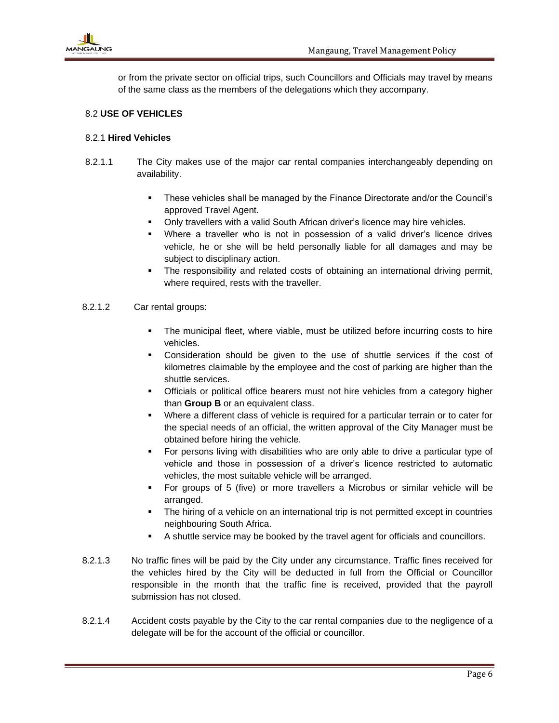

or from the private sector on official trips, such Councillors and Officials may travel by means of the same class as the members of the delegations which they accompany.

#### 8.2 **USE OF VEHICLES**

#### 8.2.1 **Hired Vehicles**

- 8.2.1.1 The City makes use of the major car rental companies interchangeably depending on availability.
	- These vehicles shall be managed by the Finance Directorate and/or the Council's approved Travel Agent.
	- Only travellers with a valid South African driver's licence may hire vehicles.
	- Where a traveller who is not in possession of a valid driver's licence drives vehicle, he or she will be held personally liable for all damages and may be subject to disciplinary action.
	- The responsibility and related costs of obtaining an international driving permit, where required, rests with the traveller.
- 8.2.1.2 Car rental groups:
	- The municipal fleet, where viable, must be utilized before incurring costs to hire vehicles.
	- Consideration should be given to the use of shuttle services if the cost of kilometres claimable by the employee and the cost of parking are higher than the shuttle services.
	- **•** Officials or political office bearers must not hire vehicles from a category higher than **Group B** or an equivalent class.
	- Where a different class of vehicle is required for a particular terrain or to cater for the special needs of an official, the written approval of the City Manager must be obtained before hiring the vehicle.
	- For persons living with disabilities who are only able to drive a particular type of vehicle and those in possession of a driver's licence restricted to automatic vehicles, the most suitable vehicle will be arranged.
	- For groups of 5 (five) or more travellers a Microbus or similar vehicle will be arranged.
	- The hiring of a vehicle on an international trip is not permitted except in countries neighbouring South Africa.
	- A shuttle service may be booked by the travel agent for officials and councillors.
- 8.2.1.3 No traffic fines will be paid by the City under any circumstance. Traffic fines received for the vehicles hired by the City will be deducted in full from the Official or Councillor responsible in the month that the traffic fine is received, provided that the payroll submission has not closed.
- 8.2.1.4 Accident costs payable by the City to the car rental companies due to the negligence of a delegate will be for the account of the official or councillor.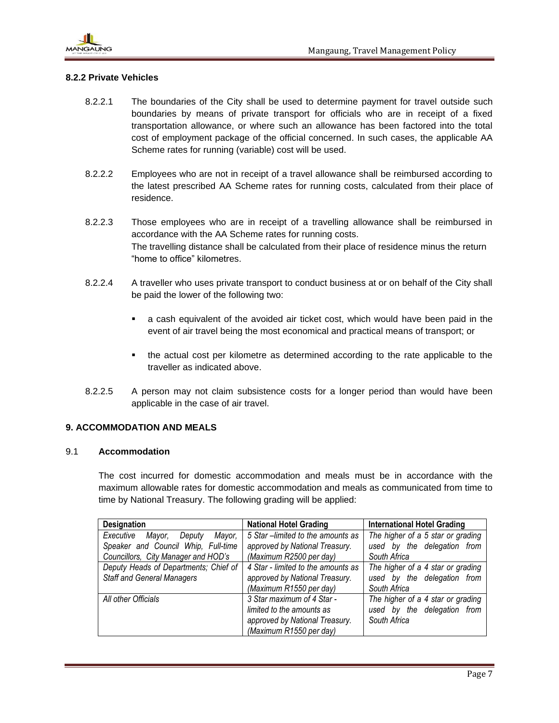

## **8.2.2 Private Vehicles**

- 8.2.2.1 The boundaries of the City shall be used to determine payment for travel outside such boundaries by means of private transport for officials who are in receipt of a fixed transportation allowance, or where such an allowance has been factored into the total cost of employment package of the official concerned. In such cases, the applicable AA Scheme rates for running (variable) cost will be used.
- 8.2.2.2 Employees who are not in receipt of a travel allowance shall be reimbursed according to the latest prescribed AA Scheme rates for running costs, calculated from their place of residence.
- 8.2.2.3 Those employees who are in receipt of a travelling allowance shall be reimbursed in accordance with the AA Scheme rates for running costs. The travelling distance shall be calculated from their place of residence minus the return "home to office" kilometres.
- 8.2.2.4 A traveller who uses private transport to conduct business at or on behalf of the City shall be paid the lower of the following two:
	- a cash equivalent of the avoided air ticket cost, which would have been paid in the event of air travel being the most economical and practical means of transport; or
	- the actual cost per kilometre as determined according to the rate applicable to the traveller as indicated above.
- 8.2.2.5 A person may not claim subsistence costs for a longer period than would have been applicable in the case of air travel.

## **9. ACCOMMODATION AND MEALS**

## 9.1 **Accommodation**

The cost incurred for domestic accommodation and meals must be in accordance with the maximum allowable rates for domestic accommodation and meals as communicated from time to time by National Treasury. The following grading will be applied:

| <b>Designation</b>                      | <b>National Hotel Grading</b>      | <b>International Hotel Grading</b> |
|-----------------------------------------|------------------------------------|------------------------------------|
| Executive<br>Mayor,<br>Mayor,<br>Deputy | 5 Star - limited to the amounts as | The higher of a 5 star or grading  |
| Speaker and Council Whip, Full-time     | approved by National Treasury.     | used by the delegation from        |
| Councillors, City Manager and HOD's     | (Maximum R2500 per day)            | South Africa                       |
| Deputy Heads of Departments; Chief of   | 4 Star - limited to the amounts as | The higher of a 4 star or grading  |
| <b>Staff and General Managers</b>       | approved by National Treasury.     | used by the delegation from        |
|                                         | (Maximum R1550 per day)            | South Africa                       |
| All other Officials                     | 3 Star maximum of 4 Star -         | The higher of a 4 star or grading  |
|                                         | limited to the amounts as          | used by the delegation from        |
|                                         | approved by National Treasury.     | South Africa                       |
|                                         | (Maximum R1550 per day)            |                                    |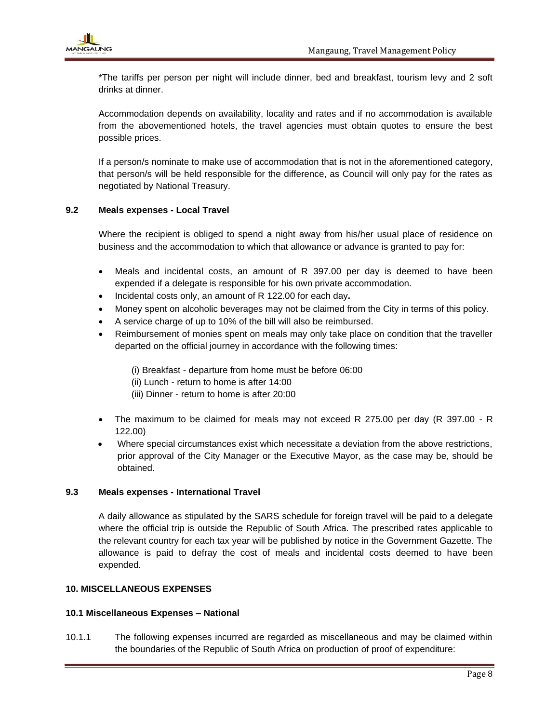

\*The tariffs per person per night will include dinner, bed and breakfast, tourism levy and 2 soft drinks at dinner.

Accommodation depends on availability, locality and rates and if no accommodation is available from the abovementioned hotels, the travel agencies must obtain quotes to ensure the best possible prices.

If a person/s nominate to make use of accommodation that is not in the aforementioned category, that person/s will be held responsible for the difference, as Council will only pay for the rates as negotiated by National Treasury.

## **9.2 Meals expenses - Local Travel**

Where the recipient is obliged to spend a night away from his/her usual place of residence on business and the accommodation to which that allowance or advance is granted to pay for:

- Meals and incidental costs, an amount of R 397.00 per day is deemed to have been expended if a delegate is responsible for his own private accommodation.
- Incidental costs only, an amount of R 122.00 for each day**.**
- Money spent on alcoholic beverages may not be claimed from the City in terms of this policy.
- A service charge of up to 10% of the bill will also be reimbursed.
- Reimbursement of monies spent on meals may only take place on condition that the traveller departed on the official journey in accordance with the following times:

(i) Breakfast - departure from home must be before 06:00 (ii) Lunch - return to home is after 14:00 (iii) Dinner - return to home is after 20:00

- The maximum to be claimed for meals may not exceed R 275.00 per day (R 397.00 R 122.00)
- Where special circumstances exist which necessitate a deviation from the above restrictions, prior approval of the City Manager or the Executive Mayor, as the case may be, should be obtained.

#### **9.3 Meals expenses - International Travel**

A daily allowance as stipulated by the SARS schedule for foreign travel will be paid to a delegate where the official trip is outside the Republic of South Africa. The prescribed rates applicable to the relevant country for each tax year will be published by notice in the Government Gazette. The allowance is paid to defray the cost of meals and incidental costs deemed to have been expended.

#### **10. MISCELLANEOUS EXPENSES**

#### **10.1 Miscellaneous Expenses – National**

10.1.1 The following expenses incurred are regarded as miscellaneous and may be claimed within the boundaries of the Republic of South Africa on production of proof of expenditure: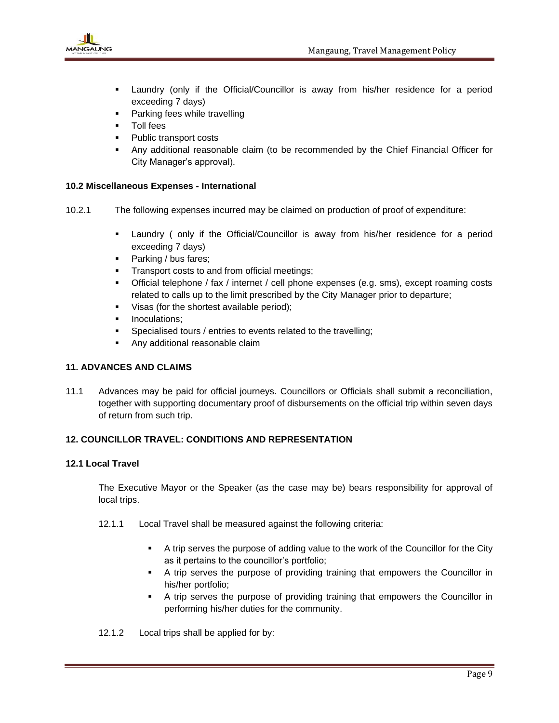

- Laundry (only if the Official/Councillor is away from his/her residence for a period exceeding 7 days)
- Parking fees while travelling
- Toll fees
- Public transport costs
- **.** Any additional reasonable claim (to be recommended by the Chief Financial Officer for City Manager's approval).

## **10.2 Miscellaneous Expenses - International**

- 10.2.1 The following expenses incurred may be claimed on production of proof of expenditure:
	- Laundry ( only if the Official/Councillor is away from his/her residence for a period exceeding 7 days)
	- Parking / bus fares;
	- **•** Transport costs to and from official meetings;
	- **•** Official telephone / fax / internet / cell phone expenses (e.g. sms), except roaming costs related to calls up to the limit prescribed by the City Manager prior to departure;
	- Visas (for the shortest available period);
	- Inoculations:
	- **•** Specialised tours / entries to events related to the travelling;
	- Any additional reasonable claim

# **11. ADVANCES AND CLAIMS**

11.1 Advances may be paid for official journeys. Councillors or Officials shall submit a reconciliation, together with supporting documentary proof of disbursements on the official trip within seven days of return from such trip.

# **12. COUNCILLOR TRAVEL: CONDITIONS AND REPRESENTATION**

#### **12.1 Local Travel**

The Executive Mayor or the Speaker (as the case may be) bears responsibility for approval of local trips.

- 12.1.1 Local Travel shall be measured against the following criteria:
	- A trip serves the purpose of adding value to the work of the Councillor for the City as it pertains to the councillor's portfolio;
	- A trip serves the purpose of providing training that empowers the Councillor in his/her portfolio;
	- A trip serves the purpose of providing training that empowers the Councillor in performing his/her duties for the community.
- 12.1.2 Local trips shall be applied for by: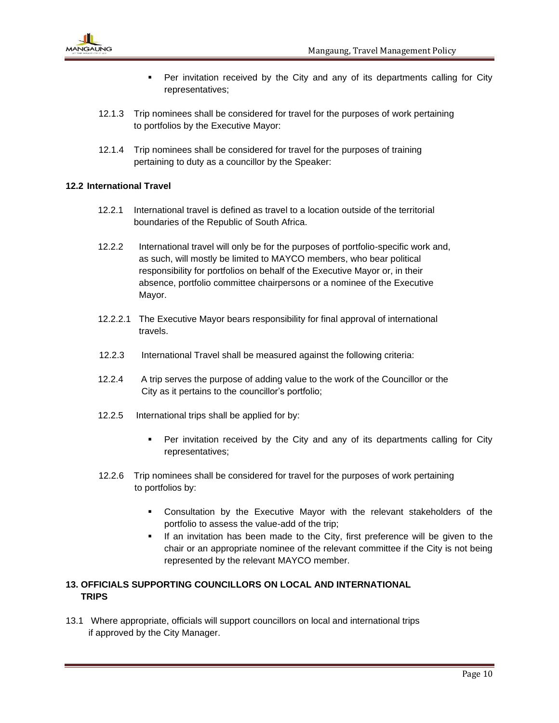

- Per invitation received by the City and any of its departments calling for City representatives;
- 12.1.3 Trip nominees shall be considered for travel for the purposes of work pertaining to portfolios by the Executive Mayor:
- 12.1.4 Trip nominees shall be considered for travel for the purposes of training pertaining to duty as a councillor by the Speaker:

## **12.2 International Travel**

- 12.2.1 International travel is defined as travel to a location outside of the territorial boundaries of the Republic of South Africa.
- 12.2.2 International travel will only be for the purposes of portfolio-specific work and, as such, will mostly be limited to MAYCO members, who bear political responsibility for portfolios on behalf of the Executive Mayor or, in their absence, portfolio committee chairpersons or a nominee of the Executive Mayor.
- 12.2.2.1 The Executive Mayor bears responsibility for final approval of international travels.
- 12.2.3 International Travel shall be measured against the following criteria:
- 12.2.4 A trip serves the purpose of adding value to the work of the Councillor or the City as it pertains to the councillor's portfolio;
- 12.2.5 International trips shall be applied for by:
	- Per invitation received by the City and any of its departments calling for City representatives;
- 12.2.6 Trip nominees shall be considered for travel for the purposes of work pertaining to portfolios by:
	- Consultation by the Executive Mayor with the relevant stakeholders of the portfolio to assess the value-add of the trip;
	- If an invitation has been made to the City, first preference will be given to the chair or an appropriate nominee of the relevant committee if the City is not being represented by the relevant MAYCO member.

# **13. OFFICIALS SUPPORTING COUNCILLORS ON LOCAL AND INTERNATIONAL TRIPS**

13.1 Where appropriate, officials will support councillors on local and international trips if approved by the City Manager.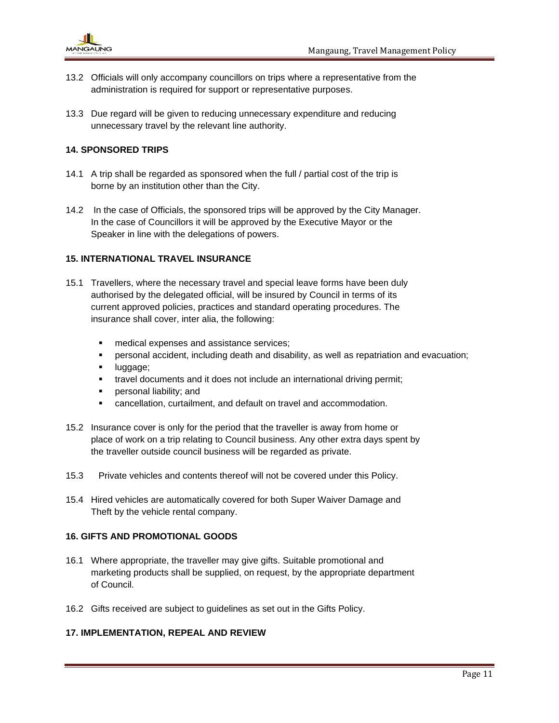

- 13.2 Officials will only accompany councillors on trips where a representative from the administration is required for support or representative purposes.
- 13.3 Due regard will be given to reducing unnecessary expenditure and reducing unnecessary travel by the relevant line authority.

## **14. SPONSORED TRIPS**

- 14.1 A trip shall be regarded as sponsored when the full / partial cost of the trip is borne by an institution other than the City.
- 14.2 In the case of Officials, the sponsored trips will be approved by the City Manager. In the case of Councillors it will be approved by the Executive Mayor or the Speaker in line with the delegations of powers.

## **15. INTERNATIONAL TRAVEL INSURANCE**

- 15.1 Travellers, where the necessary travel and special leave forms have been duly authorised by the delegated official, will be insured by Council in terms of its current approved policies, practices and standard operating procedures. The insurance shall cover, inter alia, the following:
	- **■** medical expenses and assistance services;
	- **•** personal accident, including death and disability, as well as repatriation and evacuation;
	- luggage;
	- **■** travel documents and it does not include an international driving permit;
	- **•** personal liability; and
	- cancellation, curtailment, and default on travel and accommodation.
- 15.2 Insurance cover is only for the period that the traveller is away from home or place of work on a trip relating to Council business. Any other extra days spent by the traveller outside council business will be regarded as private.
- 15.3 Private vehicles and contents thereof will not be covered under this Policy.
- 15.4 Hired vehicles are automatically covered for both Super Waiver Damage and Theft by the vehicle rental company.

#### **16. GIFTS AND PROMOTIONAL GOODS**

- 16.1 Where appropriate, the traveller may give gifts. Suitable promotional and marketing products shall be supplied, on request, by the appropriate department of Council.
- 16.2 Gifts received are subject to guidelines as set out in the Gifts Policy.

#### **17. IMPLEMENTATION, REPEAL AND REVIEW**